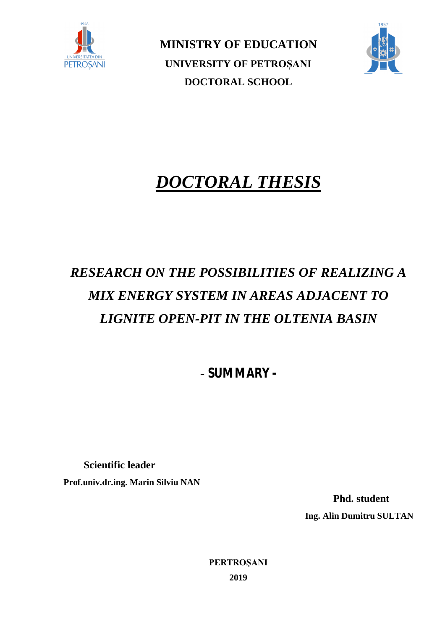

**MINISTRY OF EDUCATION UNIVERSITY OF PETROȘANI DOCTORAL SCHOOL**



# *DOCTORAL THESIS*

# *RESEARCH ON THE POSSIBILITIES OF REALIZING A MIX ENERGY SYSTEM IN AREAS ADJACENT TO LIGNITE OPEN-PIT IN THE OLTENIA BASIN*

*- SUMMARY -* 

 **Scientific leader Prof.univ.dr.ing. Marin Silviu NAN**

> **Phd. student Ing. Alin Dumitru SULTAN**

**PERTROŞANI 2019**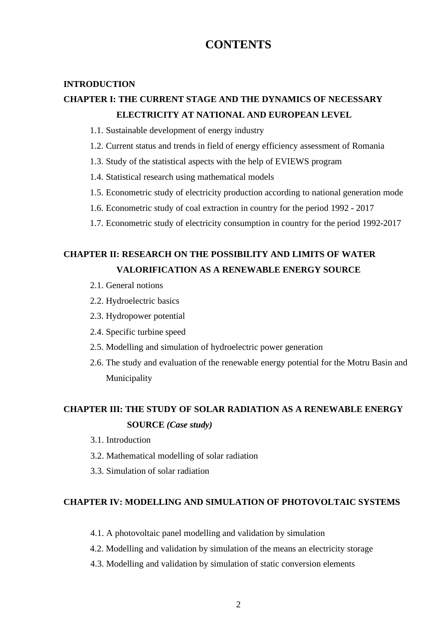# **CONTENTS**

#### **INTRODUCTION**

### **CHAPTER I: THE CURRENT STAGE AND THE DYNAMICS OF NECESSARY ELECTRICITY AT NATIONAL AND EUROPEAN LEVEL**

- 1.1. Sustainable development of energy industry
- 1.2. Current status and trends in field of energy efficiency assessment of Romania
- 1.3. Study of the statistical aspects with the help of EVIEWS program
- 1.4. Statistical research using mathematical models
- 1.5. Econometric study of electricity production according to national generation mode
- 1.6. Econometric study of coal extraction in country for the period 1992 2017
- 1.7. Econometric study of electricity consumption in country for the period 1992-2017

### **CHAPTER II: RESEARCH ON THE POSSIBILITY AND LIMITS OF WATER VALORIFICATION AS A RENEWABLE ENERGY SOURCE**

- 2.1. General notions
- 2.2. Hydroelectric basics
- 2.3. Hydropower potential
- 2.4. Specific turbine speed
- 2.5. Modelling and simulation of hydroelectric power generation
- 2.6. The study and evaluation of the renewable energy potential for the Motru Basin and Municipality

# **CHAPTER III: THE STUDY OF SOLAR RADIATION AS A RENEWABLE ENERGY SOURCE** *(Case study)*

- 3.1. Introduction
- 3.2. Mathematical modelling of solar radiation
- 3.3. Simulation of solar radiation

#### **CHAPTER IV: MODELLING AND SIMULATION OF PHOTOVOLTAIC SYSTEMS**

- 4.1. A photovoltaic panel modelling and validation by simulation
- 4.2. Modelling and validation by simulation of the means an electricity storage
- 4.3. Modelling and validation by simulation of static conversion elements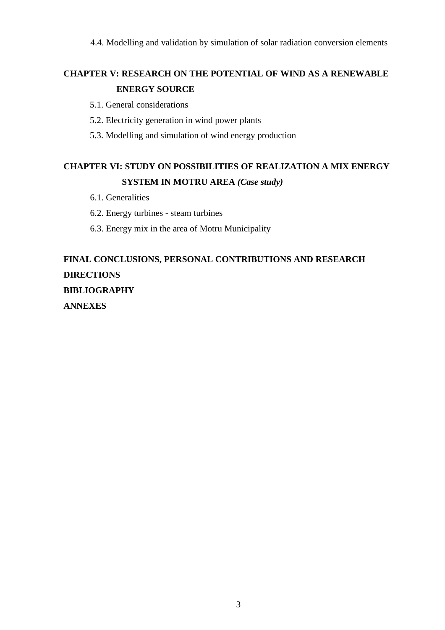4.4. Modelling and validation by simulation of solar radiation conversion elements

# **CHAPTER V: RESEARCH ON THE POTENTIAL OF WIND AS A RENEWABLE ENERGY SOURCE**

- 5.1. General considerations
- 5.2. Electricity generation in wind power plants
- 5.3. Modelling and simulation of wind energy production

# **CHAPTER VI: STUDY ON POSSIBILITIES OF REALIZATION A MIX ENERGY SYSTEM IN MOTRU AREA** *(Case study)*

- 6.1. Generalities
- 6.2. Energy turbines steam turbines
- 6.3. Energy mix in the area of Motru Municipality

# **FINAL CONCLUSIONS, PERSONAL CONTRIBUTIONS AND RESEARCH DIRECTIONS BIBLIOGRAPHY ANNEXES**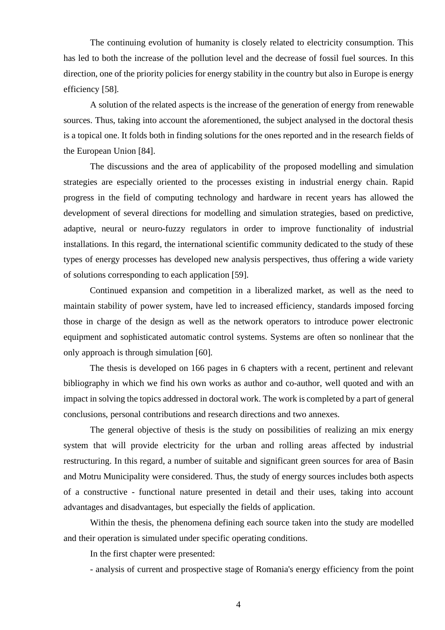The continuing evolution of humanity is closely related to electricity consumption. This has led to both the increase of the pollution level and the decrease of fossil fuel sources. In this direction, one of the priority policies for energy stability in the country but also in Europe is energy efficiency [58].

A solution of the related aspects is the increase of the generation of energy from renewable sources. Thus, taking into account the aforementioned, the subject analysed in the doctoral thesis is a topical one. It folds both in finding solutions for the ones reported and in the research fields of the European Union [84].

The discussions and the area of applicability of the proposed modelling and simulation strategies are especially oriented to the processes existing in industrial energy chain. Rapid progress in the field of computing technology and hardware in recent years has allowed the development of several directions for modelling and simulation strategies, based on predictive, adaptive, neural or neuro-fuzzy regulators in order to improve functionality of industrial installations. In this regard, the international scientific community dedicated to the study of these types of energy processes has developed new analysis perspectives, thus offering a wide variety of solutions corresponding to each application [59].

Continued expansion and competition in a liberalized market, as well as the need to maintain stability of power system, have led to increased efficiency, standards imposed forcing those in charge of the design as well as the network operators to introduce power electronic equipment and sophisticated automatic control systems. Systems are often so nonlinear that the only approach is through simulation [60].

The thesis is developed on 166 pages in 6 chapters with a recent, pertinent and relevant bibliography in which we find his own works as author and co-author, well quoted and with an impact in solving the topics addressed in doctoral work. The work is completed by a part of general conclusions, personal contributions and research directions and two annexes.

The general objective of thesis is the study on possibilities of realizing an mix energy system that will provide electricity for the urban and rolling areas affected by industrial restructuring. In this regard, a number of suitable and significant green sources for area of Basin and Motru Municipality were considered. Thus, the study of energy sources includes both aspects of a constructive - functional nature presented in detail and their uses, taking into account advantages and disadvantages, but especially the fields of application.

Within the thesis, the phenomena defining each source taken into the study are modelled and their operation is simulated under specific operating conditions.

In the first chapter were presented:

- analysis of current and prospective stage of Romania's energy efficiency from the point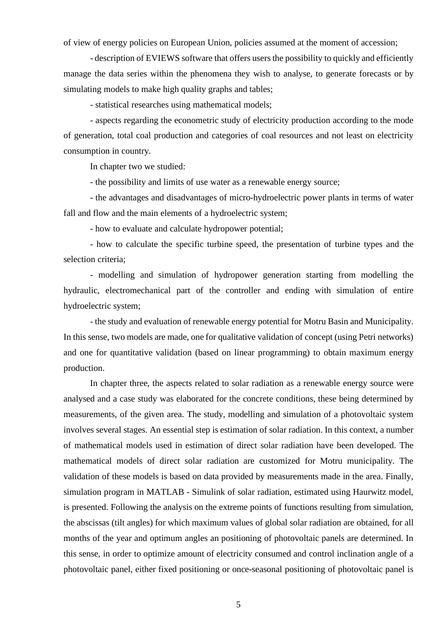of view of energy policies on European Union, policies assumed at the moment of accession;

- description of EVIEWS software that offers users the possibility to quickly and efficiently manage the data series within the phenomena they wish to analyse, to generate forecasts or by simulating models to make high quality graphs and tables;

- statistical researches using mathematical models;

- aspects regarding the econometric study of electricity production according to the mode of generation, total coal production and categories of coal resources and not least on electricity consumption in country.

In chapter two we studied:

- the possibility and limits of use water as a renewable energy source;

- the advantages and disadvantages of micro-hydroelectric power plants in terms of water fall and flow and the main elements of a hydroelectric system;

- how to evaluate and calculate hydropower potential;

- how to calculate the specific turbine speed, the presentation of turbine types and the selection criteria;

- modelling and simulation of hydropower generation starting from modelling the hydraulic, electromechanical part of the controller and ending with simulation of entire hydroelectric system;

- the study and evaluation of renewable energy potential for Motru Basin and Municipality. In this sense, two models are made, one for qualitative validation of concept (using Petri networks) and one for quantitative validation (based on linear programming) to obtain maximum energy production.

In chapter three, the aspects related to solar radiation as a renewable energy source were analysed and a case study was elaborated for the concrete conditions, these being determined by measurements, of the given area. The study, modelling and simulation of a photovoltaic system involves several stages. An essential step is estimation of solar radiation. In this context, a number of mathematical models used in estimation of direct solar radiation have been developed. The mathematical models of direct solar radiation are customized for Motru municipality. The validation of these models is based on data provided by measurements made in the area. Finally, simulation program in MATLAB - Simulink of solar radiation, estimated using Haurwitz model, is presented. Following the analysis on the extreme points of functions resulting from simulation, the abscissas (tilt angles) for which maximum values of global solar radiation are obtained, for all months of the year and optimum angles an positioning of photovoltaic panels are determined. In this sense, in order to optimize amount of electricity consumed and control inclination angle of a photovoltaic panel, either fixed positioning or once-seasonal positioning of photovoltaic panel is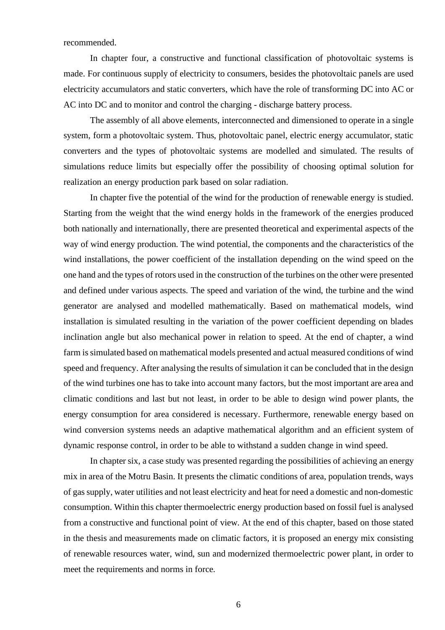recommended.

In chapter four, a constructive and functional classification of photovoltaic systems is made. For continuous supply of electricity to consumers, besides the photovoltaic panels are used electricity accumulators and static converters, which have the role of transforming DC into AC or AC into DC and to monitor and control the charging - discharge battery process.

The assembly of all above elements, interconnected and dimensioned to operate in a single system, form a photovoltaic system. Thus, photovoltaic panel, electric energy accumulator, static converters and the types of photovoltaic systems are modelled and simulated. The results of simulations reduce limits but especially offer the possibility of choosing optimal solution for realization an energy production park based on solar radiation.

In chapter five the potential of the wind for the production of renewable energy is studied. Starting from the weight that the wind energy holds in the framework of the energies produced both nationally and internationally, there are presented theoretical and experimental aspects of the way of wind energy production. The wind potential, the components and the characteristics of the wind installations, the power coefficient of the installation depending on the wind speed on the one hand and the types of rotors used in the construction of the turbines on the other were presented and defined under various aspects. The speed and variation of the wind, the turbine and the wind generator are analysed and modelled mathematically. Based on mathematical models, wind installation is simulated resulting in the variation of the power coefficient depending on blades inclination angle but also mechanical power in relation to speed. At the end of chapter, a wind farm is simulated based on mathematical models presented and actual measured conditions of wind speed and frequency. After analysing the results of simulation it can be concluded that in the design of the wind turbines one has to take into account many factors, but the most important are area and climatic conditions and last but not least, in order to be able to design wind power plants, the energy consumption for area considered is necessary. Furthermore, renewable energy based on wind conversion systems needs an adaptive mathematical algorithm and an efficient system of dynamic response control, in order to be able to withstand a sudden change in wind speed.

In chapter six, a case study was presented regarding the possibilities of achieving an energy mix in area of the Motru Basin. It presents the climatic conditions of area, population trends, ways of gas supply, water utilities and not least electricity and heat for need a domestic and non-domestic consumption. Within this chapter thermoelectric energy production based on fossil fuel is analysed from a constructive and functional point of view. At the end of this chapter, based on those stated in the thesis and measurements made on climatic factors, it is proposed an energy mix consisting of renewable resources water, wind, sun and modernized thermoelectric power plant, in order to meet the requirements and norms in force.

6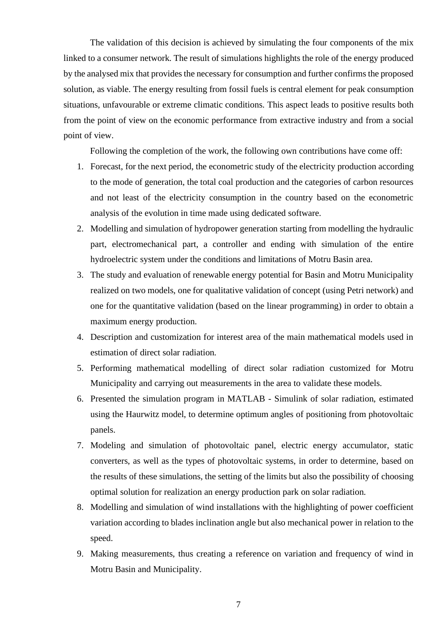The validation of this decision is achieved by simulating the four components of the mix linked to a consumer network. The result of simulations highlights the role of the energy produced by the analysed mix that provides the necessary for consumption and further confirms the proposed solution, as viable. The energy resulting from fossil fuels is central element for peak consumption situations, unfavourable or extreme climatic conditions. This aspect leads to positive results both from the point of view on the economic performance from extractive industry and from a social point of view.

Following the completion of the work, the following own contributions have come off:

- 1. Forecast, for the next period, the econometric study of the electricity production according to the mode of generation, the total coal production and the categories of carbon resources and not least of the electricity consumption in the country based on the econometric analysis of the evolution in time made using dedicated software.
- 2. Modelling and simulation of hydropower generation starting from modelling the hydraulic part, electromechanical part, a controller and ending with simulation of the entire hydroelectric system under the conditions and limitations of Motru Basin area.
- 3. The study and evaluation of renewable energy potential for Basin and Motru Municipality realized on two models, one for qualitative validation of concept (using Petri network) and one for the quantitative validation (based on the linear programming) in order to obtain a maximum energy production.
- 4. Description and customization for interest area of the main mathematical models used in estimation of direct solar radiation.
- 5. Performing mathematical modelling of direct solar radiation customized for Motru Municipality and carrying out measurements in the area to validate these models.
- 6. Presented the simulation program in MATLAB Simulink of solar radiation, estimated using the Haurwitz model, to determine optimum angles of positioning from photovoltaic panels.
- 7. Modeling and simulation of photovoltaic panel, electric energy accumulator, static converters, as well as the types of photovoltaic systems, in order to determine, based on the results of these simulations, the setting of the limits but also the possibility of choosing optimal solution for realization an energy production park on solar radiation.
- 8. Modelling and simulation of wind installations with the highlighting of power coefficient variation according to blades inclination angle but also mechanical power in relation to the speed.
- 9. Making measurements, thus creating a reference on variation and frequency of wind in Motru Basin and Municipality.